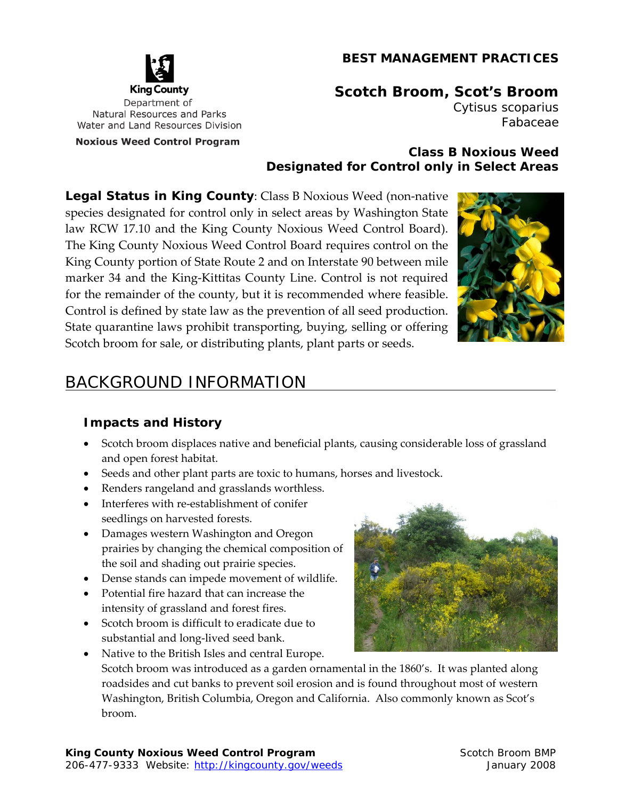#### **BEST MANAGEMENT PRACTICES**



# **Scotch Broom, Scot's Broom**

*Cytisus scoparius* Fabaceae

#### **Class B Noxious Weed Designated for Control only in Select Areas**

**Legal Status in King County**: Class B Noxious Weed (non‐native species designated for control only in select areas by Washington State law RCW 17.10 and the King County Noxious Weed Control Board). The King County Noxious Weed Control Board requires control on the King County portion of State Route 2 and on Interstate 90 between mile marker 34 and the King‐Kittitas County Line. Control is not required for the remainder of the county, but it is recommended where feasible. Control is defined by state law as the prevention of all seed production. State quarantine laws prohibit transporting, buying, selling or offering Scotch broom for sale, or distributing plants, plant parts or seeds.



# BACKGROUND INFORMATION

#### **Impacts and History**

- Scotch broom displaces native and beneficial plants, causing considerable loss of grassland and open forest habitat.
- Seeds and other plant parts are toxic to humans, horses and livestock.
- Renders rangeland and grasslands worthless.
- Interferes with re-establishment of conifer seedlings on harvested forests.
- Damages western Washington and Oregon prairies by changing the chemical composition of the soil and shading out prairie species.
- Dense stands can impede movement of wildlife.
- Potential fire hazard that can increase the intensity of grassland and forest fires.
- Scotch broom is difficult to eradicate due to substantial and long‐lived seed bank.
- Native to the British Isles and central Europe. Scotch broom was introduced as a garden ornamental in the 1860's. It was planted along roadsides and cut banks to prevent soil erosion and is found throughout most of western Washington, British Columbia, Oregon and California. Also commonly known as Scot's broom.

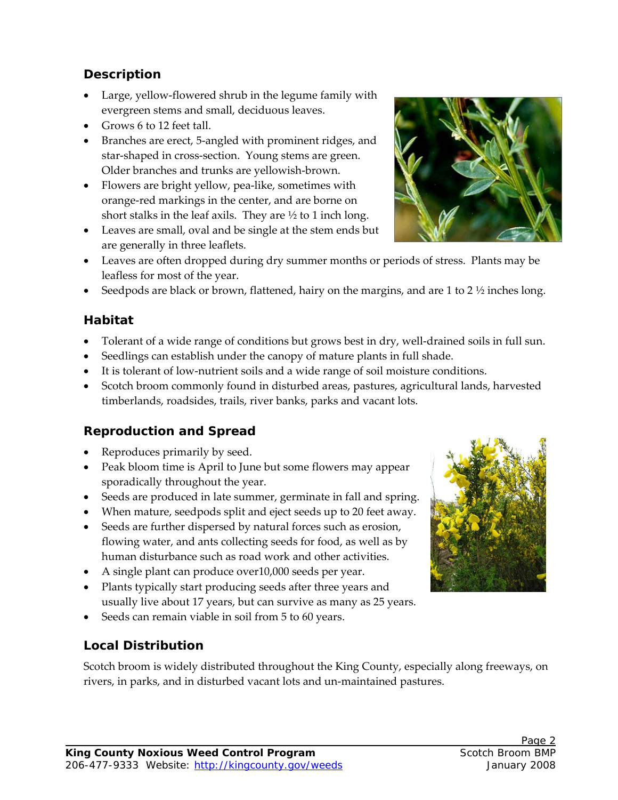#### **Description**

- Large, yellow‐flowered shrub in the legume family with evergreen stems and small, deciduous leaves.
- Grows 6 to 12 feet tall.
- Branches are erect, 5-angled with prominent ridges, and star-shaped in cross-section. Young stems are green. Older branches and trunks are yellowish‐brown.
- Flowers are bright yellow, pea‐like, sometimes with orange‐red markings in the center, and are borne on short stalks in the leaf axils. They are  $\frac{1}{2}$  to 1 inch long.
- Leaves are small, oval and be single at the stem ends but are generally in three leaflets.
- Leaves are often dropped during dry summer months or periods of stress. Plants may be leafless for most of the year.
- Seedpods are black or brown, flattened, hairy on the margins, and are 1 to 2  $\frac{1}{2}$  inches long.

#### **Habitat**

- Tolerant of a wide range of conditions but grows best in dry, well-drained soils in full sun.
- Seedlings can establish under the canopy of mature plants in full shade.
- It is tolerant of low‐nutrient soils and a wide range of soil moisture conditions.
- Scotch broom commonly found in disturbed areas, pastures, agricultural lands, harvested timberlands, roadsides, trails, river banks, parks and vacant lots.

## **Reproduction and Spread**

- Reproduces primarily by seed.
- Peak bloom time is April to June but some flowers may appear sporadically throughout the year.
- Seeds are produced in late summer, germinate in fall and spring.
- When mature, seedpods split and eject seeds up to 20 feet away.
- Seeds are further dispersed by natural forces such as erosion, flowing water, and ants collecting seeds for food, as well as by human disturbance such as road work and other activities.
- A single plant can produce over10,000 seeds per year.
- Plants typically start producing seeds after three years and usually live about 17 years, but can survive as many as 25 years.
- Seeds can remain viable in soil from 5 to 60 years.

#### **Local Distribution**

Scotch broom is widely distributed throughout the King County, especially along freeways, on rivers, in parks, and in disturbed vacant lots and un‐maintained pastures.





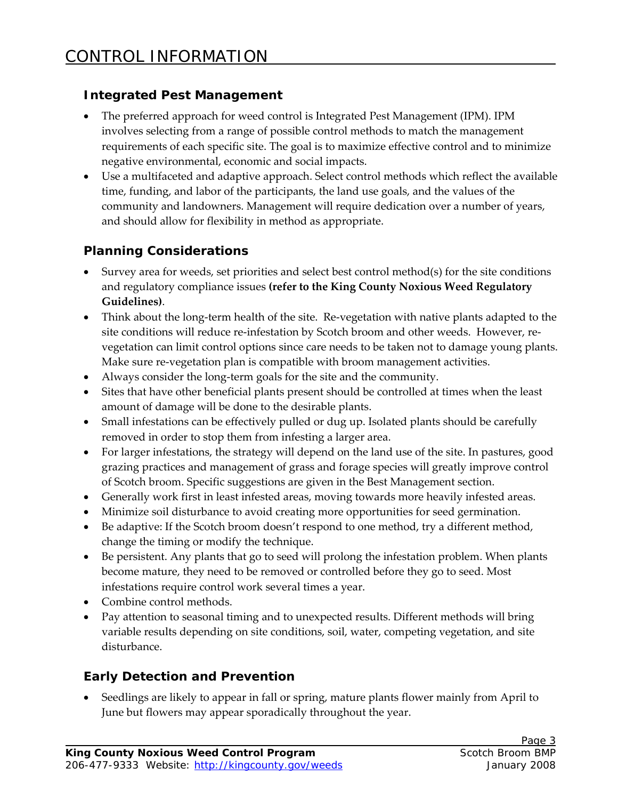#### **Integrated Pest Management**

- The preferred approach for weed control is Integrated Pest Management (IPM). IPM involves selecting from a range of possible control methods to match the management requirements of each specific site. The goal is to maximize effective control and to minimize negative environmental, economic and social impacts.
- Use a multifaceted and adaptive approach. Select control methods which reflect the available time, funding, and labor of the participants, the land use goals, and the values of the community and landowners. Management will require dedication over a number of years, and should allow for flexibility in method as appropriate.

#### **Planning Considerations**

- Survey area for weeds, set priorities and select best control method(s) for the site conditions and regulatory compliance issues **(refer to the King County Noxious Weed Regulatory Guidelines)**.
- Think about the long‐term health of the site. Re‐vegetation with native plants adapted to the site conditions will reduce re-infestation by Scotch broom and other weeds. However, revegetation can limit control options since care needs to be taken not to damage young plants. Make sure re-vegetation plan is compatible with broom management activities.
- Always consider the long‐term goals for the site and the community.
- Sites that have other beneficial plants present should be controlled at times when the least amount of damage will be done to the desirable plants.
- Small infestations can be effectively pulled or dug up. Isolated plants should be carefully removed in order to stop them from infesting a larger area.
- For larger infestations, the strategy will depend on the land use of the site. In pastures, good grazing practices and management of grass and forage species will greatly improve control of Scotch broom. Specific suggestions are given in the Best Management section.
- Generally work first in least infested areas, moving towards more heavily infested areas.
- Minimize soil disturbance to avoid creating more opportunities for seed germination.
- Be adaptive: If the Scotch broom doesn't respond to one method, try a different method, change the timing or modify the technique.
- Be persistent. Any plants that go to seed will prolong the infestation problem. When plants become mature, they need to be removed or controlled before they go to seed. Most infestations require control work several times a year.
- Combine control methods.
- Pay attention to seasonal timing and to unexpected results. Different methods will bring variable results depending on site conditions, soil, water, competing vegetation, and site disturbance.

## **Early Detection and Prevention**

 Seedlings are likely to appear in fall or spring, mature plants flower mainly from April to June but flowers may appear sporadically throughout the year.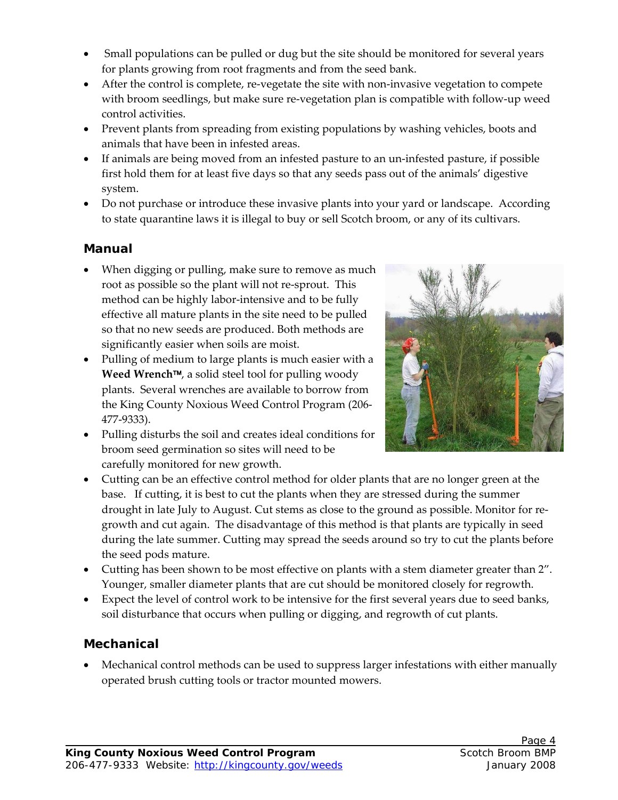- Small populations can be pulled or dug but the site should be monitored for several years for plants growing from root fragments and from the seed bank.
- ◆ After the control is complete, re-vegetate the site with non-invasive vegetation to compete with broom seedlings, but make sure re-vegetation plan is compatible with follow-up weed control activities.
- Prevent plants from spreading from existing populations by washing vehicles, boots and animals that have been in infested areas.
- If animals are being moved from an infested pasture to an un‐infested pasture, if possible first hold them for at least five days so that any seeds pass out of the animals' digestive system.
- Do not purchase or introduce these invasive plants into your yard or landscape. According to state quarantine laws it is illegal to buy or sell Scotch broom, or any of its cultivars.

#### **Manual**

- When digging or pulling, make sure to remove as much root as possible so the plant will not re‐sprout. This method can be highly labor-intensive and to be fully effective all mature plants in the site need to be pulled so that no new seeds are produced. Both methods are significantly easier when soils are moist.
- Pulling of medium to large plants is much easier with a **Weed Wrench**, a solid steel tool for pulling woody plants. Several wrenches are available to borrow from the King County Noxious Weed Control Program (206‐ 477‐9333).
- Pulling disturbs the soil and creates ideal conditions for broom seed germination so sites will need to be carefully monitored for new growth.



- Cutting can be an effective control method for older plants that are no longer green at the base. If cutting, it is best to cut the plants when they are stressed during the summer drought in late July to August. Cut stems as close to the ground as possible. Monitor for re‐ growth and cut again. The disadvantage of this method is that plants are typically in seed during the late summer. Cutting may spread the seeds around so try to cut the plants before the seed pods mature.
- Cutting has been shown to be most effective on plants with a stem diameter greater than 2". Younger, smaller diameter plants that are cut should be monitored closely for regrowth.
- Expect the level of control work to be intensive for the first several years due to seed banks, soil disturbance that occurs when pulling or digging, and regrowth of cut plants.

#### **Mechanical**

 Mechanical control methods can be used to suppress larger infestations with either manually operated brush cutting tools or tractor mounted mowers.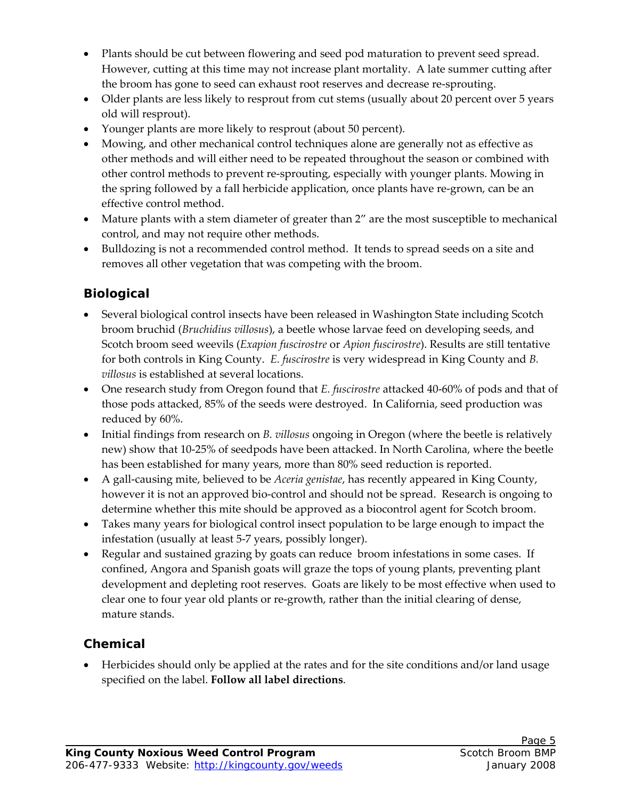- Plants should be cut between flowering and seed pod maturation to prevent seed spread. However, cutting at this time may not increase plant mortality. A late summer cutting after the broom has gone to seed can exhaust root reserves and decrease re‐sprouting.
- Older plants are less likely to resprout from cut stems (usually about 20 percent over 5 years old will resprout).
- Younger plants are more likely to resprout (about 50 percent).
- Mowing, and other mechanical control techniques alone are generally not as effective as other methods and will either need to be repeated throughout the season or combined with other control methods to prevent re‐sprouting, especially with younger plants. Mowing in the spring followed by a fall herbicide application, once plants have re‐grown, can be an effective control method.
- Mature plants with a stem diameter of greater than 2" are the most susceptible to mechanical control, and may not require other methods.
- Bulldozing is not a recommended control method. It tends to spread seeds on a site and removes all other vegetation that was competing with the broom.

# **Biological**

- Several biological control insects have been released in Washington State including Scotch broom bruchid (*Bruchidius villosus*), a beetle whose larvae feed on developing seeds, and Scotch broom seed weevils (*Exapion fuscirostre* or *Apion fuscirostre*). Results are still tentative for both controls in King County. *E. fuscirostre* is very widespread in King County and *B. villosus* is established at several locations.
- One research study from Oregon found that *E. fuscirostre* attacked 40‐60% of pods and that of those pods attacked, 85% of the seeds were destroyed. In California, seed production was reduced by 60%.
- Initial findings from research on *B. villosus* ongoing in Oregon (where the beetle is relatively new) show that 10‐25% of seedpods have been attacked. In North Carolina, where the beetle has been established for many years, more than 80% seed reduction is reported.
- A gall‐causing mite, believed to be *Aceria genistae*, has recently appeared in King County, however it is not an approved bio-control and should not be spread. Research is ongoing to determine whether this mite should be approved as a biocontrol agent for Scotch broom.
- Takes many years for biological control insect population to be large enough to impact the infestation (usually at least 5‐7 years, possibly longer).
- Regular and sustained grazing by goats can reduce broom infestations in some cases. If confined, Angora and Spanish goats will graze the tops of young plants, preventing plant development and depleting root reserves. Goats are likely to be most effective when used to clear one to four year old plants or re‐growth, rather than the initial clearing of dense, mature stands.

#### **Chemical**

 Herbicides should only be applied at the rates and for the site conditions and/or land usage specified on the label. **Follow all label directions**.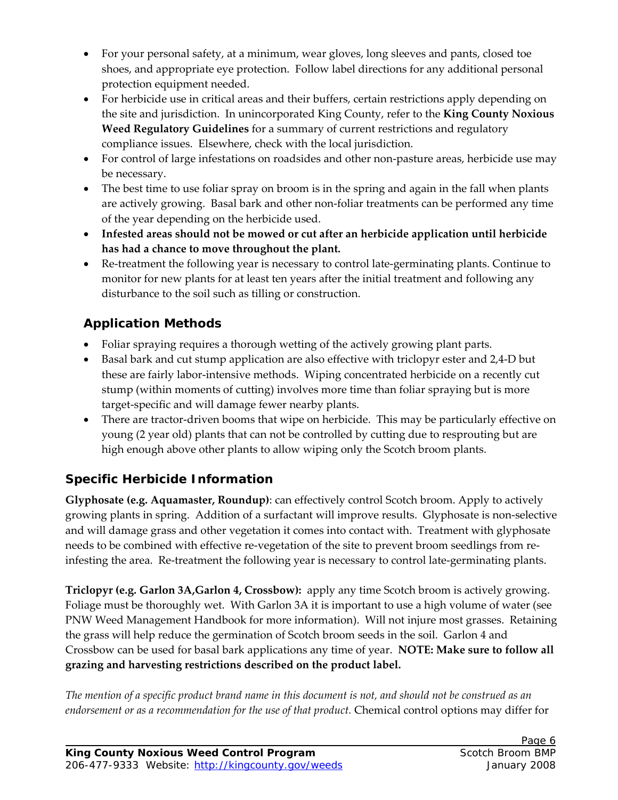- For your personal safety, at a minimum, wear gloves, long sleeves and pants, closed toe shoes, and appropriate eye protection. Follow label directions for any additional personal protection equipment needed.
- For herbicide use in critical areas and their buffers, certain restrictions apply depending on the site and jurisdiction. In unincorporated King County, refer to the **King County Noxious Weed Regulatory Guidelines** for a summary of current restrictions and regulatory compliance issues. Elsewhere, check with the local jurisdiction.
- For control of large infestations on roadsides and other non-pasture areas, herbicide use may be necessary.
- The best time to use foliar spray on broom is in the spring and again in the fall when plants are actively growing. Basal bark and other non‐foliar treatments can be performed any time of the year depending on the herbicide used.
- **Infested areas should not be mowed or cut after an herbicide application until herbicide has had a chance to move throughout the plant.**
- Re-treatment the following year is necessary to control late-germinating plants. Continue to monitor for new plants for at least ten years after the initial treatment and following any disturbance to the soil such as tilling or construction.

# **Application Methods**

- Foliar spraying requires a thorough wetting of the actively growing plant parts.
- Basal bark and cut stump application are also effective with triclopyr ester and 2,4‐D but these are fairly labor‐intensive methods. Wiping concentrated herbicide on a recently cut stump (within moments of cutting) involves more time than foliar spraying but is more target‐specific and will damage fewer nearby plants.
- There are tractor-driven booms that wipe on herbicide. This may be particularly effective on young (2 year old) plants that can not be controlled by cutting due to resprouting but are high enough above other plants to allow wiping only the Scotch broom plants.

# **Specific Herbicide Information**

**Glyphosate (e.g. Aquamaster, Roundup)**: can effectively control Scotch broom. Apply to actively growing plants in spring. Addition of a surfactant will improve results. Glyphosate is non‐selective and will damage grass and other vegetation it comes into contact with. Treatment with glyphosate needs to be combined with effective re-vegetation of the site to prevent broom seedlings from reinfesting the area. Re-treatment the following year is necessary to control late-germinating plants.

**Triclopyr (e.g. Garlon 3A,Garlon 4, Crossbow):** apply any time Scotch broom is actively growing. Foliage must be thoroughly wet. With Garlon 3A it is important to use a high volume of water (see PNW Weed Management Handbook for more information). Will not injure most grasses. Retaining the grass will help reduce the germination of Scotch broom seeds in the soil. Garlon 4 and Crossbow can be used for basal bark applications any time of year. **NOTE: Make sure to follow all grazing and harvesting restrictions described on the product label.** 

The mention of a specific product brand name in this document is not, and should not be construed as an *endorsement or as a recommendation for the use of that product.* Chemical control options may differ for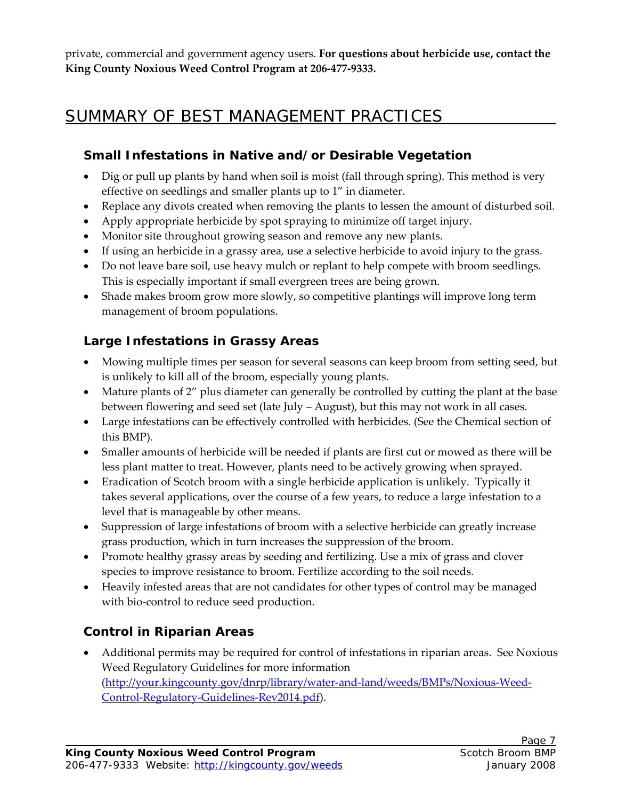private, commercial and government agency users. **For questions about herbicide use, contact the King County Noxious Weed Control Program at 206‐477‐9333.**

# SUMMARY OF BEST MANAGEMENT PRACTICES

# **Small Infestations in Native and/or Desirable Vegetation**

- Dig or pull up plants by hand when soil is moist (fall through spring). This method is very effective on seedlings and smaller plants up to 1" in diameter.
- Replace any divots created when removing the plants to lessen the amount of disturbed soil.
- Apply appropriate herbicide by spot spraying to minimize off target injury.
- Monitor site throughout growing season and remove any new plants.
- If using an herbicide in a grassy area, use a selective herbicide to avoid injury to the grass.
- Do not leave bare soil, use heavy mulch or replant to help compete with broom seedlings. This is especially important if small evergreen trees are being grown.
- Shade makes broom grow more slowly, so competitive plantings will improve long term management of broom populations.

# **Large Infestations in Grassy Areas**

- Mowing multiple times per season for several seasons can keep broom from setting seed, but is unlikely to kill all of the broom, especially young plants.
- Mature plants of 2" plus diameter can generally be controlled by cutting the plant at the base between flowering and seed set (late July – August), but this may not work in all cases.
- Large infestations can be effectively controlled with herbicides. (See the Chemical section of this BMP).
- Smaller amounts of herbicide will be needed if plants are first cut or mowed as there will be less plant matter to treat. However, plants need to be actively growing when sprayed.
- Eradication of Scotch broom with a single herbicide application is unlikely. Typically it takes several applications, over the course of a few years, to reduce a large infestation to a level that is manageable by other means.
- Suppression of large infestations of broom with a selective herbicide can greatly increase grass production, which in turn increases the suppression of the broom.
- Promote healthy grassy areas by seeding and fertilizing. Use a mix of grass and clover species to improve resistance to broom. Fertilize according to the soil needs.
- Heavily infested areas that are not candidates for other types of control may be managed with bio-control to reduce seed production.

# **Control in Riparian Areas**

 Additional permits may be required for control of infestations in riparian areas. See Noxious Weed Regulatory Guidelines for more information (http://your.kingcounty.gov/dnrp/library/water‐and‐land/weeds/BMPs/Noxious‐Weed‐ Control‐Regulatory‐Guidelines‐Rev2014.pdf).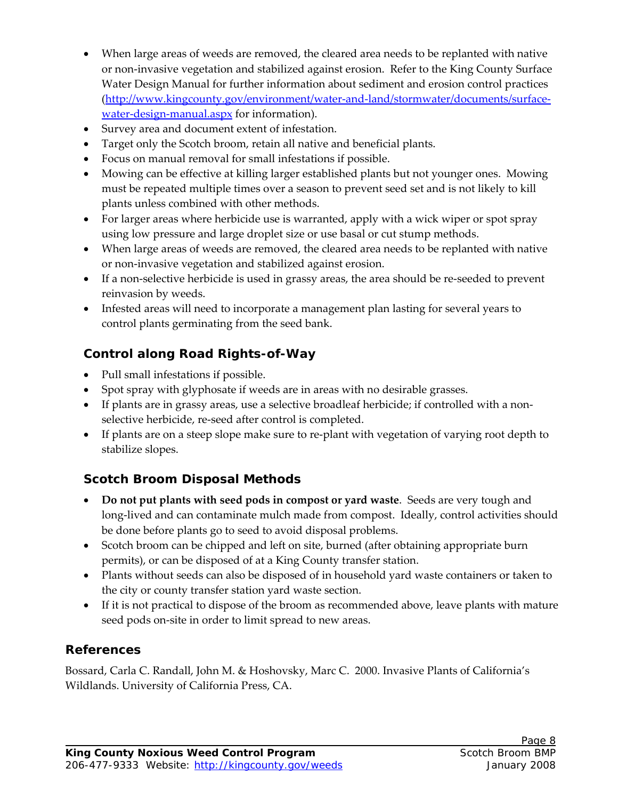- When large areas of weeds are removed, the cleared area needs to be replanted with native or non‐invasive vegetation and stabilized against erosion. Refer to the King County Surface Water Design Manual for further information about sediment and erosion control practices (http://www.kingcounty.gov/environment/water‐and‐land/stormwater/documents/surface‐ water-design-manual.aspx for information).
- Survey area and document extent of infestation.
- Target only the Scotch broom, retain all native and beneficial plants.
- Focus on manual removal for small infestations if possible.
- Mowing can be effective at killing larger established plants but not younger ones. Mowing must be repeated multiple times over a season to prevent seed set and is not likely to kill plants unless combined with other methods.
- For larger areas where herbicide use is warranted, apply with a wick wiper or spot spray using low pressure and large droplet size or use basal or cut stump methods.
- When large areas of weeds are removed, the cleared area needs to be replanted with native or non‐invasive vegetation and stabilized against erosion.
- If a non-selective herbicide is used in grassy areas, the area should be re-seeded to prevent reinvasion by weeds.
- Infested areas will need to incorporate a management plan lasting for several years to control plants germinating from the seed bank.

# **Control along Road Rights-of-Way**

- Pull small infestations if possible.
- Spot spray with glyphosate if weeds are in areas with no desirable grasses.
- If plants are in grassy areas, use a selective broadleaf herbicide; if controlled with a nonselective herbicide, re-seed after control is completed.
- If plants are on a steep slope make sure to re‐plant with vegetation of varying root depth to stabilize slopes.

# **Scotch Broom Disposal Methods**

- **Do not put plants with seed pods in compost or yard waste**. Seeds are very tough and long‐lived and can contaminate mulch made from compost. Ideally, control activities should be done before plants go to seed to avoid disposal problems.
- Scotch broom can be chipped and left on site, burned (after obtaining appropriate burn permits), or can be disposed of at a King County transfer station.
- Plants without seeds can also be disposed of in household yard waste containers or taken to the city or county transfer station yard waste section.
- If it is not practical to dispose of the broom as recommended above, leave plants with mature seed pods on-site in order to limit spread to new areas.

## **References**

Bossard, Carla C. Randall, John M. & Hoshovsky, Marc C. 2000. Invasive Plants of California's Wildlands. University of California Press, CA.